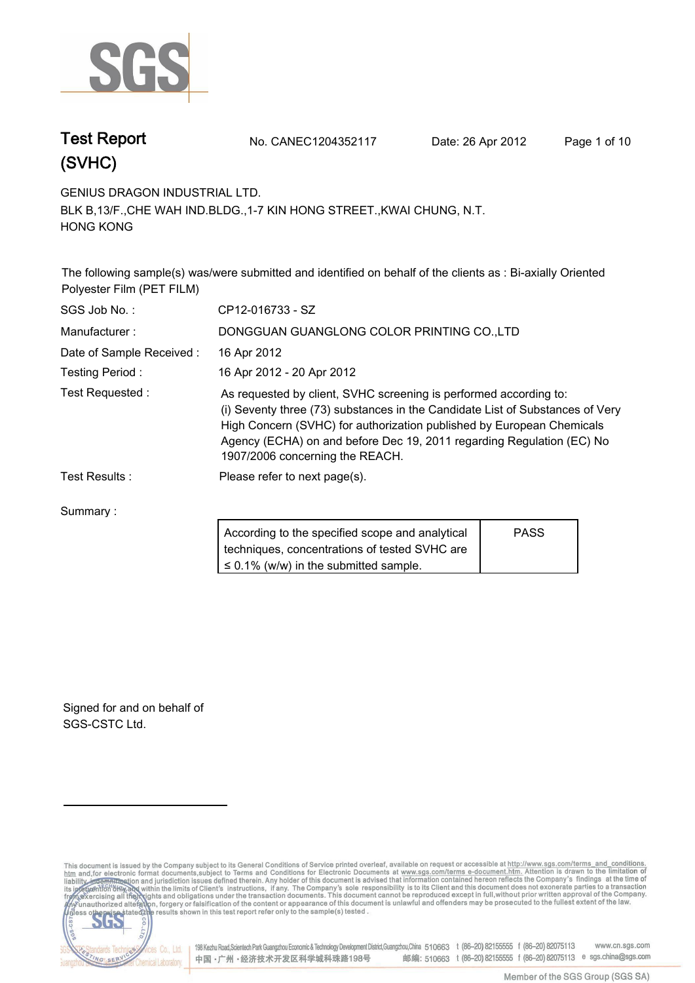

**Test Report. No. CANEC1204352117 Date: 26 Apr 2012. Page 1 of 10.**

**GENIUS DRAGON INDUSTRIAL LTD..**

**BLK B,13/F.,CHE WAH IND.BLDG.,1-7 KIN HONG STREET.,KWAI CHUNG, N.T. HONG KONG.**

**The following sample(s) was/were submitted and identified on behalf of the clients as : Bi-axially Oriented Polyester Film (PET FILM).**

| SGS Job No.:             | CP12-016733 - SZ                                                                                                                                                                                                                                                                                                                        |             |  |
|--------------------------|-----------------------------------------------------------------------------------------------------------------------------------------------------------------------------------------------------------------------------------------------------------------------------------------------------------------------------------------|-------------|--|
| Manufacturer:            | DONGGUAN GUANGLONG COLOR PRINTING CO.,LTD                                                                                                                                                                                                                                                                                               |             |  |
| Date of Sample Received: | 16 Apr 2012                                                                                                                                                                                                                                                                                                                             |             |  |
| Testing Period:          | 16 Apr 2012 - 20 Apr 2012                                                                                                                                                                                                                                                                                                               |             |  |
| Test Requested:          | As requested by client, SVHC screening is performed according to:<br>(i) Seventy three (73) substances in the Candidate List of Substances of Very<br>High Concern (SVHC) for authorization published by European Chemicals<br>Agency (ECHA) on and before Dec 19, 2011 regarding Regulation (EC) No<br>1907/2006 concerning the REACH. |             |  |
| Test Results:            | Please refer to next page(s).                                                                                                                                                                                                                                                                                                           |             |  |
| Summary:                 |                                                                                                                                                                                                                                                                                                                                         |             |  |
|                          | According to the specified scope and analytical<br>techniques, concentrations of tested SVHC are                                                                                                                                                                                                                                        | <b>PASS</b> |  |

**≤ 0.1% (w/w) in the submitted sample.**

**Signed for and on behalf of SGS-CSTC Ltd..**

lards Te

NG SER

This document is issued by the Company subject to its General Conditions of Service printed overleaf, available on request or accessible at http://www.sgs.com/terms\_and\_conditions.<br>htm\_and, for electronic format documents, S<sub>3</sub>

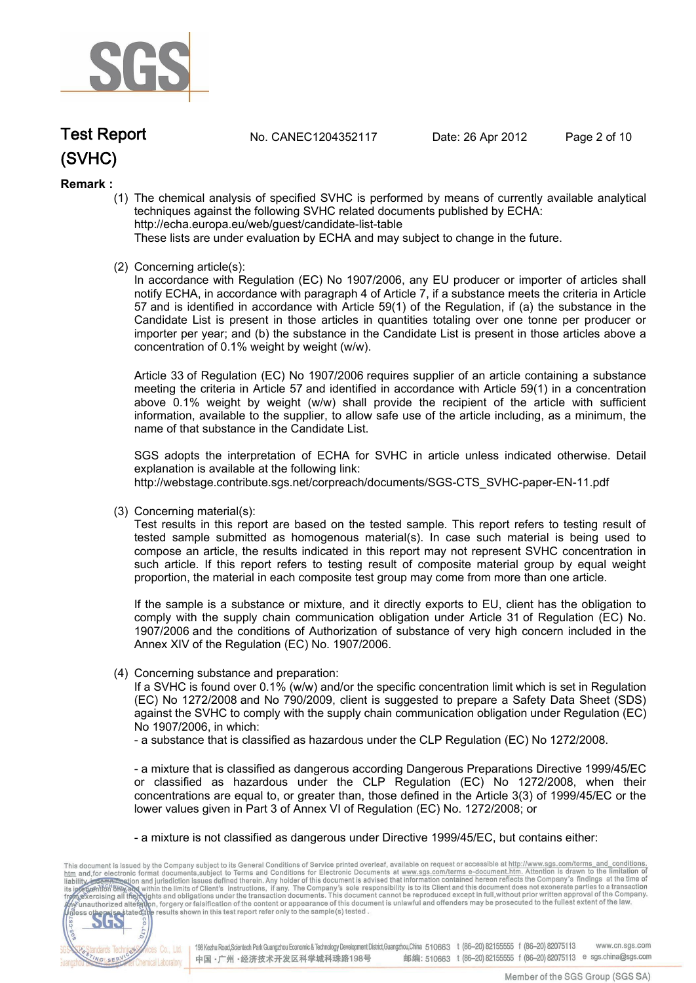

**Test Report. No. CANEC1204352117 Date: 26 Apr 2012. Page 2 of 10.**

### **Remark :**

(1) The chemical analysis of specified SVHC is performed by means of currently available analytical techniques against the following SVHC related documents published by ECHA: http://echa.europa.eu/web/guest/candidate-list-table

These lists are under evaluation by ECHA and may subject to change in the future.

(2) Concerning article(s):

In accordance with Regulation (EC) No 1907/2006, any EU producer or importer of articles shall notify ECHA, in accordance with paragraph 4 of Article 7, if a substance meets the criteria in Article 57 and is identified in accordance with Article 59(1) of the Regulation, if (a) the substance in the Candidate List is present in those articles in quantities totaling over one tonne per producer or importer per year; and (b) the substance in the Candidate List is present in those articles above a concentration of 0.1% weight by weight (w/w).

Article 33 of Regulation (EC) No 1907/2006 requires supplier of an article containing a substance meeting the criteria in Article 57 and identified in accordance with Article 59(1) in a concentration above 0.1% weight by weight (w/w) shall provide the recipient of the article with sufficient information, available to the supplier, to allow safe use of the article including, as a minimum, the name of that substance in the Candidate List.

SGS adopts the interpretation of ECHA for SVHC in article unless indicated otherwise. Detail explanation is available at the following link: http://webstage.contribute.sgs.net/corpreach/documents/SGS-CTS\_SVHC-paper-EN-11.pdf

(3) Concerning material(s):

Test results in this report are based on the tested sample. This report refers to testing result of tested sample submitted as homogenous material(s). In case such material is being used to compose an article, the results indicated in this report may not represent SVHC concentration in such article. If this report refers to testing result of composite material group by equal weight proportion, the material in each composite test group may come from more than one article.

If the sample is a substance or mixture, and it directly exports to EU, client has the obligation to comply with the supply chain communication obligation under Article 31 of Regulation (EC) No. 1907/2006 and the conditions of Authorization of substance of very high concern included in the Annex XIV of the Regulation (EC) No. 1907/2006.

(4) Concerning substance and preparation:

If a SVHC is found over 0.1% (w/w) and/or the specific concentration limit which is set in Regulation (EC) No 1272/2008 and No 790/2009, client is suggested to prepare a Safety Data Sheet (SDS) against the SVHC to comply with the supply chain communication obligation under Regulation (EC) No 1907/2006, in which:

- a substance that is classified as hazardous under the CLP Regulation (EC) No 1272/2008.

- a mixture that is classified as dangerous according Dangerous Preparations Directive 1999/45/EC or classified as hazardous under the CLP Regulation (EC) No 1272/2008, when their concentrations are equal to, or greater than, those defined in the Article 3(3) of 1999/45/EC or the lower values given in Part 3 of Annex VI of Regulation (EC) No. 1272/2008; or

- a mixture is not classified as dangerous under Directive 1999/45/EC, but contains either:

This document is issued by the Company subject to its General Conditions of Service printed overleaf, available on request or accessible at http://www.sgs.com/terms\_and\_conditions.<br>
htm and for electronic format documents, CO.LTD. 565 198 Kezhu Road, Scientech Park Guangzhou Economic & Technology Development District, Guangzhou, China 510663 t (86-20) 82155555 f (86-20) 82075113 **Co., Ltd.** www.cn.sas.com dards Tech 邮编: 510663 t (86-20) 82155555 f (86-20) 82075113 e sgs.china@sgs.com 中国·广州·经济技术开发区科学城科珠路198号 NG SERY Chemical Laboratory.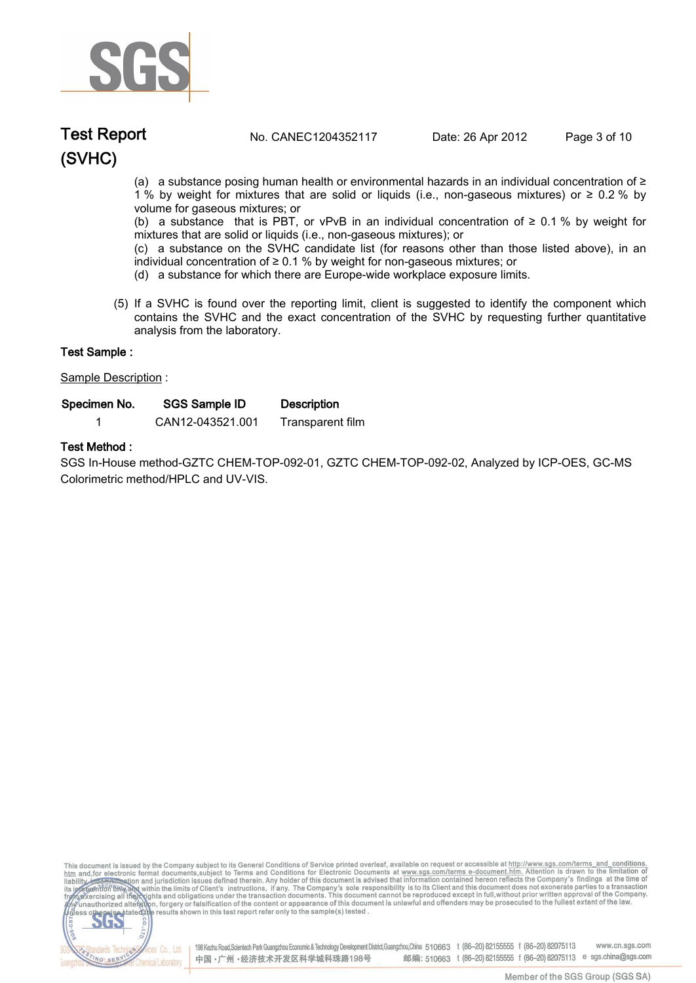

### **(SVHC) Test Report. No. CANEC1204352117 Date: 26 Apr 2012. Page 3 of 10.**

(a) a substance posing human health or environmental hazards in an individual concentration of ≥ 1 % by weight for mixtures that are solid or liquids (i.e., non-gaseous mixtures) or ≥ 0.2 % by volume for gaseous mixtures; or

(b) a substance that is PBT, or vPvB in an individual concentration of  $\geq 0.1$  % by weight for mixtures that are solid or liquids (i.e., non-gaseous mixtures); or

(c) a substance on the SVHC candidate list (for reasons other than those listed above), in an individual concentration of ≥ 0.1 % by weight for non-gaseous mixtures; or

- (d) a substance for which there are Europe-wide workplace exposure limits.
- (5) If a SVHC is found over the reporting limit, client is suggested to identify the component which contains the SVHC and the exact concentration of the SVHC by requesting further quantitative analysis from the laboratory.

| Test Sample :        |                      |                    |  |
|----------------------|----------------------|--------------------|--|
| Sample Description : |                      |                    |  |
| Specimen No.         | <b>SGS Sample ID</b> | <b>Description</b> |  |
|                      | CAN12-043521.001     | Transparent film   |  |

### **Test Method :.**

**SGS In-House method-GZTC CHEM-TOP-092-01, GZTC CHEM-TOP-092-02, Analyzed by ICP-OES, GC-MS Colorimetric method/HPLC and UV-VIS..**

This document is issued by the Company subject to its General Conditions of Service printed overleaf, available on request or accessible at http://www.sgs.com/terms\_and\_conditions.<br>htm\_and, for electronic format documents,



198 Kezhu Road,Scientech Park Guangzhou Economic & Technology Development District,Guangzhou,China 510663 t (86-20) 82155555 f (86-20) 82075113 www.cn.sgs.com 邮编: 510663 t (86-20) 82155555 f (86-20) 82075113 e sgs.china@sgs.com 中国·广州·经济技术开发区科学城科珠路198号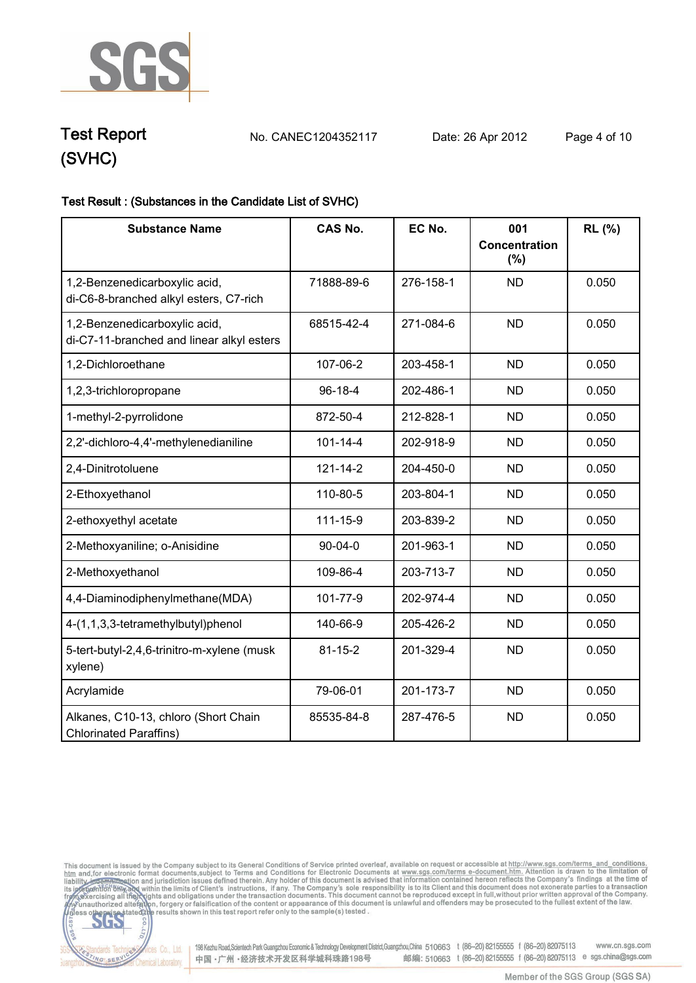

**Test Report. No. CANEC1204352117 Date: 26 Apr 2012. Page 4 of 10.**

### **Test Result : (Substances in the Candidate List of SVHC).**

| <b>Substance Name</b>                                                      | <b>CAS No.</b> | EC No.    | 001<br><b>Concentration</b><br>$(\%)$ | RL (%) |
|----------------------------------------------------------------------------|----------------|-----------|---------------------------------------|--------|
| 1,2-Benzenedicarboxylic acid,<br>di-C6-8-branched alkyl esters, C7-rich    | 71888-89-6     | 276-158-1 | <b>ND</b>                             | 0.050  |
| 1,2-Benzenedicarboxylic acid,<br>di-C7-11-branched and linear alkyl esters | 68515-42-4     | 271-084-6 | <b>ND</b>                             | 0.050  |
| 1,2-Dichloroethane                                                         | 107-06-2       | 203-458-1 | <b>ND</b>                             | 0.050  |
| 1,2,3-trichloropropane                                                     | $96 - 18 - 4$  | 202-486-1 | <b>ND</b>                             | 0.050  |
| 1-methyl-2-pyrrolidone                                                     | 872-50-4       | 212-828-1 | <b>ND</b>                             | 0.050  |
| 2,2'-dichloro-4,4'-methylenedianiline                                      | $101 - 14 - 4$ | 202-918-9 | <b>ND</b>                             | 0.050  |
| 2,4-Dinitrotoluene                                                         | $121 - 14 - 2$ | 204-450-0 | <b>ND</b>                             | 0.050  |
| 2-Ethoxyethanol                                                            | 110-80-5       | 203-804-1 | <b>ND</b>                             | 0.050  |
| 2-ethoxyethyl acetate                                                      | 111-15-9       | 203-839-2 | <b>ND</b>                             | 0.050  |
| 2-Methoxyaniline; o-Anisidine                                              | $90 - 04 - 0$  | 201-963-1 | <b>ND</b>                             | 0.050  |
| 2-Methoxyethanol                                                           | 109-86-4       | 203-713-7 | <b>ND</b>                             | 0.050  |
| 4,4-Diaminodiphenylmethane(MDA)                                            | 101-77-9       | 202-974-4 | <b>ND</b>                             | 0.050  |
| 4-(1,1,3,3-tetramethylbutyl)phenol                                         | 140-66-9       | 205-426-2 | <b>ND</b>                             | 0.050  |
| 5-tert-butyl-2,4,6-trinitro-m-xylene (musk<br>xylene)                      | $81 - 15 - 2$  | 201-329-4 | <b>ND</b>                             | 0.050  |
| Acrylamide                                                                 | 79-06-01       | 201-173-7 | <b>ND</b>                             | 0.050  |
| Alkanes, C10-13, chloro (Short Chain<br><b>Chlorinated Paraffins)</b>      | 85535-84-8     | 287-476-5 | <b>ND</b>                             | 0.050  |

This document is issued by the Company subject to its General Conditions of Service printed overleaf, available on request or accessible at http://www.sgs.com/terms\_and\_conditions.<br>htm\_and,for electronic format documents,



Electric Co., Ltd. 198 Kezhu Road, Scientech Park Guangzhou Economic & Technology Development District, Guangzhou, China 510663 t (86-20) 82155555 f (86-20) 82075113 www.cn.sgs.com 邮编: 510663 t (86-20) 82155555 f (86-20) 82075113 e sgs.china@sgs.com 中国·广州·经济技术开发区科学城科珠路198号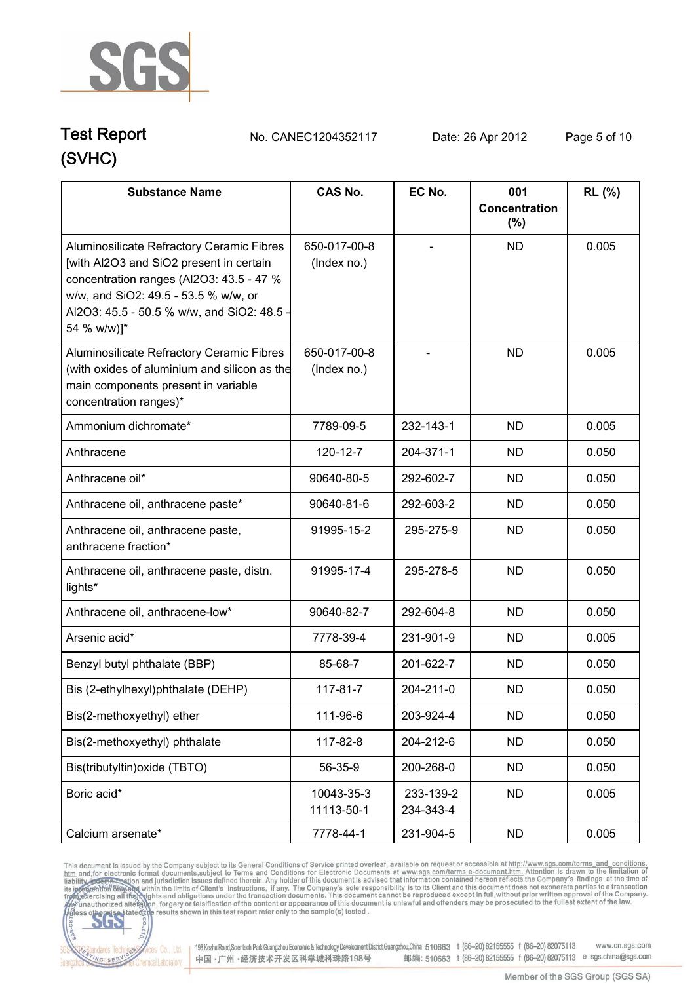

**Test Report. No. CANEC1204352117 Date: 26 Apr 2012. Page 5 of 10.**

| <b>Substance Name</b>                                                                                                                                                                                                                 | <b>CAS No.</b>              | EC No.                 | 001<br>Concentration<br>$(\%)$ | <b>RL</b> (%) |
|---------------------------------------------------------------------------------------------------------------------------------------------------------------------------------------------------------------------------------------|-----------------------------|------------------------|--------------------------------|---------------|
| Aluminosilicate Refractory Ceramic Fibres<br>[with Al2O3 and SiO2 present in certain<br>concentration ranges (Al2O3: 43.5 - 47 %<br>w/w, and SiO2: 49.5 - 53.5 % w/w, or<br>Al2O3: 45.5 - 50.5 % w/w, and SiO2: 48.5 -<br>54 % w/w)]* | 650-017-00-8<br>(Index no.) |                        | <b>ND</b>                      | 0.005         |
| Aluminosilicate Refractory Ceramic Fibres<br>(with oxides of aluminium and silicon as the<br>main components present in variable<br>concentration ranges)*                                                                            | 650-017-00-8<br>(Index no.) |                        | <b>ND</b>                      | 0.005         |
| Ammonium dichromate*                                                                                                                                                                                                                  | 7789-09-5                   | 232-143-1              | <b>ND</b>                      | 0.005         |
| Anthracene                                                                                                                                                                                                                            | 120-12-7                    | 204-371-1              | <b>ND</b>                      | 0.050         |
| Anthracene oil*                                                                                                                                                                                                                       | 90640-80-5                  | 292-602-7              | <b>ND</b>                      | 0.050         |
| Anthracene oil, anthracene paste*                                                                                                                                                                                                     | 90640-81-6                  | 292-603-2              | <b>ND</b>                      | 0.050         |
| Anthracene oil, anthracene paste,<br>anthracene fraction*                                                                                                                                                                             | 91995-15-2                  | 295-275-9              | <b>ND</b>                      | 0.050         |
| Anthracene oil, anthracene paste, distn.<br>lights*                                                                                                                                                                                   | 91995-17-4                  | 295-278-5              | <b>ND</b>                      | 0.050         |
| Anthracene oil, anthracene-low*                                                                                                                                                                                                       | 90640-82-7                  | 292-604-8              | <b>ND</b>                      | 0.050         |
| Arsenic acid*                                                                                                                                                                                                                         | 7778-39-4                   | 231-901-9              | <b>ND</b>                      | 0.005         |
| Benzyl butyl phthalate (BBP)                                                                                                                                                                                                          | 85-68-7                     | 201-622-7              | <b>ND</b>                      | 0.050         |
| Bis (2-ethylhexyl)phthalate (DEHP)                                                                                                                                                                                                    | 117-81-7                    | 204-211-0              | <b>ND</b>                      | 0.050         |
| Bis(2-methoxyethyl) ether                                                                                                                                                                                                             | 111-96-6                    | 203-924-4              | <b>ND</b>                      | 0.050         |
| Bis(2-methoxyethyl) phthalate                                                                                                                                                                                                         | 117-82-8                    | 204-212-6              | <b>ND</b>                      | 0.050         |
| Bis(tributyltin) oxide (TBTO)                                                                                                                                                                                                         | 56-35-9                     | 200-268-0              | <b>ND</b>                      | 0.050         |
| Boric acid*                                                                                                                                                                                                                           | 10043-35-3<br>11113-50-1    | 233-139-2<br>234-343-4 | <b>ND</b>                      | 0.005         |
| Calcium arsenate*                                                                                                                                                                                                                     | 7778-44-1                   | 231-904-5              | <b>ND</b>                      | 0.005         |

This document is issued by the Company subject to its General Conditions of Service printed overleaf, available on request or accessible at http://www.sgs.com/terms. and\_conditions.<br>htm and, for electronic format document



Vices Co., Ltd. | 198 Kezhu Road,Scientech Park Guangzhou Economic & Technology Development District,Guangzhou,China 510663 t (86-20) 82155555 f (86-20) 82075113 www.cn.sgs.com 邮编: 510663 t (86-20) 82155555 f (86-20) 82075113 e sgs.china@sgs.com 中国·广州·经济技术开发区科学城科珠路198号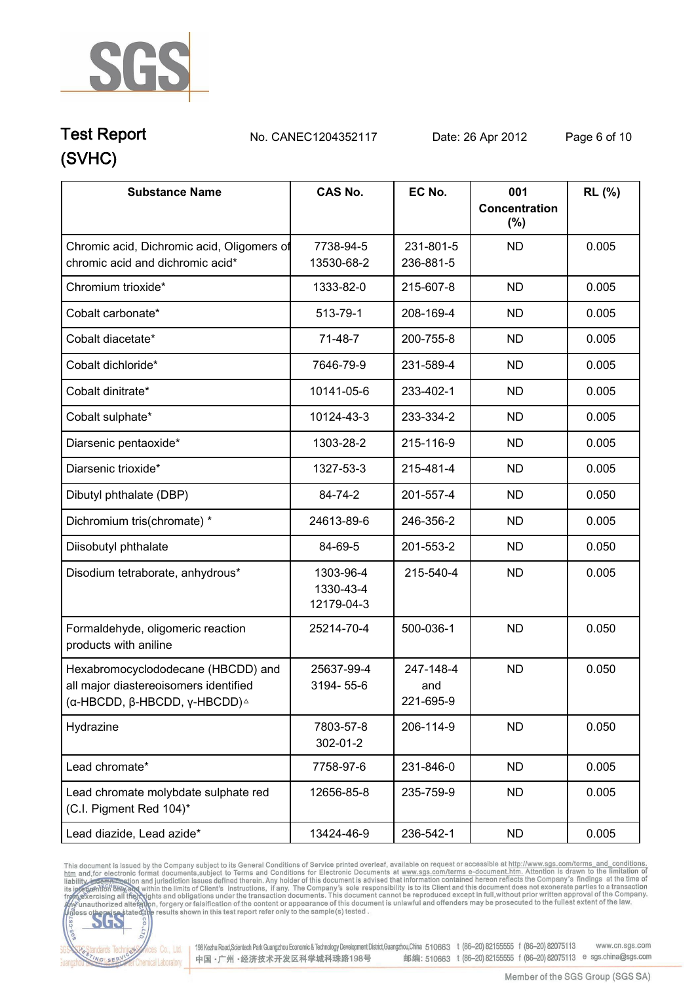

**Test Report. No. CANEC1204352117 Date: 26 Apr 2012. Page 6 of 10.**

| <b>Substance Name</b>                                                                                                        | <b>CAS No.</b>                       | EC No.                        | 001<br>Concentration | RL (%) |
|------------------------------------------------------------------------------------------------------------------------------|--------------------------------------|-------------------------------|----------------------|--------|
|                                                                                                                              |                                      |                               | (%)                  |        |
| Chromic acid, Dichromic acid, Oligomers of<br>chromic acid and dichromic acid*                                               | 7738-94-5<br>13530-68-2              | 231-801-5<br>236-881-5        | <b>ND</b>            | 0.005  |
| Chromium trioxide*                                                                                                           | 1333-82-0                            | 215-607-8                     | <b>ND</b>            | 0.005  |
| Cobalt carbonate*                                                                                                            | 513-79-1                             | 208-169-4                     | <b>ND</b>            | 0.005  |
| Cobalt diacetate*                                                                                                            | 71-48-7                              | 200-755-8                     | <b>ND</b>            | 0.005  |
| Cobalt dichloride*                                                                                                           | 7646-79-9                            | 231-589-4                     | <b>ND</b>            | 0.005  |
| Cobalt dinitrate*                                                                                                            | 10141-05-6                           | 233-402-1                     | <b>ND</b>            | 0.005  |
| Cobalt sulphate*                                                                                                             | 10124-43-3                           | 233-334-2                     | <b>ND</b>            | 0.005  |
| Diarsenic pentaoxide*                                                                                                        | 1303-28-2                            | 215-116-9                     | <b>ND</b>            | 0.005  |
| Diarsenic trioxide*                                                                                                          | 1327-53-3                            | 215-481-4                     | <b>ND</b>            | 0.005  |
| Dibutyl phthalate (DBP)                                                                                                      | 84-74-2                              | 201-557-4                     | <b>ND</b>            | 0.050  |
| Dichromium tris(chromate) *                                                                                                  | 24613-89-6                           | 246-356-2                     | <b>ND</b>            | 0.005  |
| Diisobutyl phthalate                                                                                                         | 84-69-5                              | 201-553-2                     | <b>ND</b>            | 0.050  |
| Disodium tetraborate, anhydrous*                                                                                             | 1303-96-4<br>1330-43-4<br>12179-04-3 | 215-540-4                     | <b>ND</b>            | 0.005  |
| Formaldehyde, oligomeric reaction<br>products with aniline                                                                   | 25214-70-4                           | 500-036-1                     | <b>ND</b>            | 0.050  |
| Hexabromocyclododecane (HBCDD) and<br>all major diastereoisomers identified<br>(α-HBCDD, β-HBCDD, γ-HBCDD) $^{\vartriangle}$ | 25637-99-4<br>3194-55-6              | 247-148-4<br>and<br>221-695-9 | <b>ND</b>            | 0.050  |
| Hydrazine                                                                                                                    | 7803-57-8<br>302-01-2                | 206-114-9                     | <b>ND</b>            | 0.050  |
| Lead chromate*                                                                                                               | 7758-97-6                            | 231-846-0                     | <b>ND</b>            | 0.005  |
| Lead chromate molybdate sulphate red<br>(C.I. Pigment Red 104)*                                                              | 12656-85-8                           | 235-759-9                     | <b>ND</b>            | 0.005  |
| Lead diazide, Lead azide*                                                                                                    | 13424-46-9                           | 236-542-1                     | <b>ND</b>            | 0.005  |

This document is issued by the Company subject to its General Conditions of Service printed overleaf, available on request or accessible at http://www.sgs.com/terms. and\_conditions.<br>htm and, for electronic format document



onces Co., Ltd. | 198 Kezhu Road, Scientech Park Guangzhou Economic & Technology Development District, Guangzhou, China 510663 t (86-20) 82155555 f (86-20) 82075113 www.cn.sgs.com 邮编: 510663 t (86-20) 82155555 f (86-20) 82075113 e sgs.china@sgs.com 中国·广州·经济技术开发区科学城科珠路198号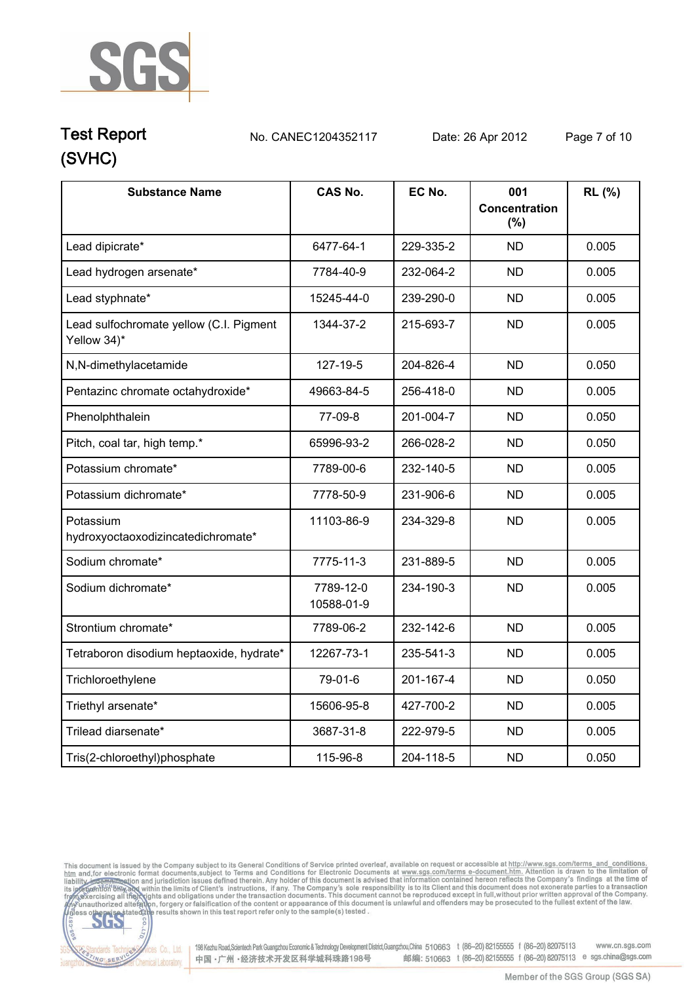

### **(SVHC) Test Report. No. CANEC1204352117 Date: 26 Apr 2012. Page 7 of 10.**

| <b>Substance Name</b>                                  | <b>CAS No.</b>          | EC No.    | 001<br><b>Concentration</b><br>(%) | RL (%) |
|--------------------------------------------------------|-------------------------|-----------|------------------------------------|--------|
| Lead dipicrate*                                        | 6477-64-1               | 229-335-2 | <b>ND</b>                          | 0.005  |
| Lead hydrogen arsenate*                                | 7784-40-9               | 232-064-2 | <b>ND</b>                          | 0.005  |
| Lead styphnate*                                        | 15245-44-0              | 239-290-0 | <b>ND</b>                          | 0.005  |
| Lead sulfochromate yellow (C.I. Pigment<br>Yellow 34)* | 1344-37-2               | 215-693-7 | <b>ND</b>                          | 0.005  |
| N,N-dimethylacetamide                                  | 127-19-5                | 204-826-4 | <b>ND</b>                          | 0.050  |
| Pentazinc chromate octahydroxide*                      | 49663-84-5              | 256-418-0 | <b>ND</b>                          | 0.005  |
| Phenolphthalein                                        | 77-09-8                 | 201-004-7 | <b>ND</b>                          | 0.050  |
| Pitch, coal tar, high temp.*                           | 65996-93-2              | 266-028-2 | <b>ND</b>                          | 0.050  |
| Potassium chromate*                                    | 7789-00-6               | 232-140-5 | <b>ND</b>                          | 0.005  |
| Potassium dichromate*                                  | 7778-50-9               | 231-906-6 | <b>ND</b>                          | 0.005  |
| Potassium<br>hydroxyoctaoxodizincatedichromate*        | 11103-86-9              | 234-329-8 | <b>ND</b>                          | 0.005  |
| Sodium chromate*                                       | 7775-11-3               | 231-889-5 | <b>ND</b>                          | 0.005  |
| Sodium dichromate*                                     | 7789-12-0<br>10588-01-9 | 234-190-3 | <b>ND</b>                          | 0.005  |
| Strontium chromate*                                    | 7789-06-2               | 232-142-6 | <b>ND</b>                          | 0.005  |
| Tetraboron disodium heptaoxide, hydrate*               | 12267-73-1              | 235-541-3 | <b>ND</b>                          | 0.005  |
| Trichloroethylene                                      | 79-01-6                 | 201-167-4 | <b>ND</b>                          | 0.050  |
| Triethyl arsenate*                                     | 15606-95-8              | 427-700-2 | <b>ND</b>                          | 0.005  |
| Trilead diarsenate*                                    | 3687-31-8               | 222-979-5 | <b>ND</b>                          | 0.005  |
| Tris(2-chloroethyl)phosphate                           | 115-96-8                | 204-118-5 | <b>ND</b>                          | 0.050  |

This document is issued by the Company subject to its General Conditions of Service printed overleaf, available on request or accessible at http://www.sgs.com/terms\_and\_conditions.<br>htm\_and,for electronic format documents,



onces Co., Ltd. | 198 Kezhu Road, Scientech Park Guangzhou Economic & Technology Development District, Guangzhou, China 510663 t (86-20) 82155555 f (86-20) 82075113 www.cn.sgs.com 邮编: 510663 t (86-20) 82155555 f (86-20) 82075113 e sgs.china@sgs.com 中国·广州·经济技术开发区科学城科珠路198号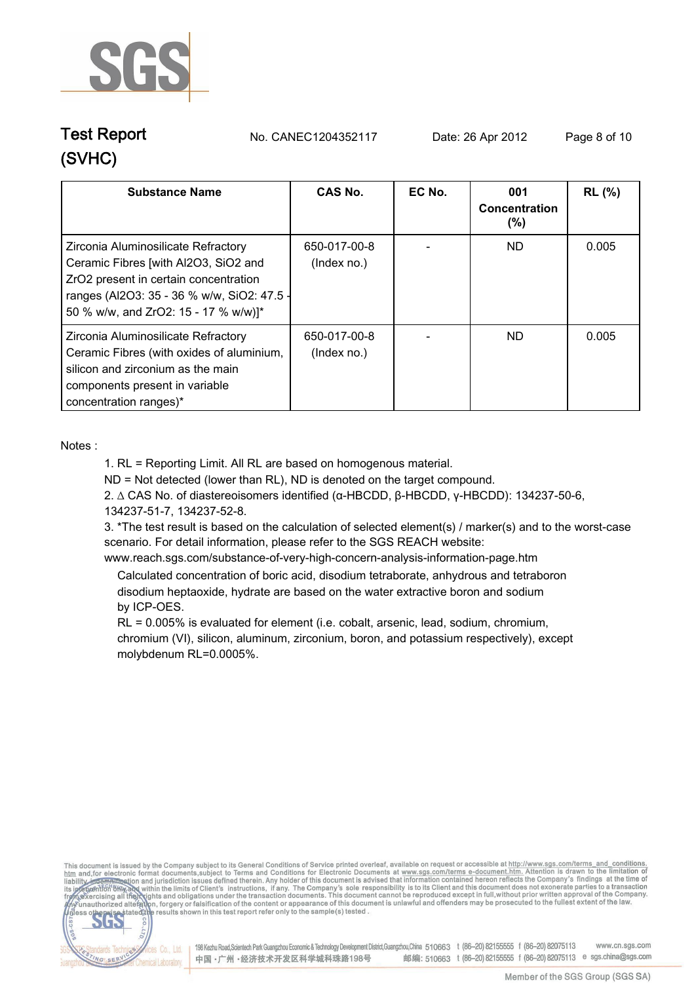

**Test Report. No. CANEC1204352117 Date: 26 Apr 2012. Page 8 of 10.**

| <b>Substance Name</b>                                                                                                                                                                                      | CAS No.                     | EC No. | 001<br>Concentration<br>$(\% )$ | <b>RL</b> (%) |
|------------------------------------------------------------------------------------------------------------------------------------------------------------------------------------------------------------|-----------------------------|--------|---------------------------------|---------------|
| Zirconia Aluminosilicate Refractory<br>Ceramic Fibres [with Al2O3, SiO2 and<br>ZrO2 present in certain concentration<br>ranges (Al2O3: 35 - 36 % w/w, SiO2: 47.5 -<br>50 % w/w, and ZrO2: 15 - 17 % w/w)]* | 650-017-00-8<br>(Index no.) |        | ND.                             | 0.005         |
| Zirconia Aluminosilicate Refractory<br>Ceramic Fibres (with oxides of aluminium,<br>silicon and zirconium as the main<br>components present in variable<br>concentration ranges)*                          | 650-017-00-8<br>(Index no.) |        | ND.                             | 0.005         |

**Notes :.**

**NG SER** 

**1. RL = Reporting Limit. All RL are based on homogenous material.**

**ND = Not detected (lower than RL), ND is denoted on the target compound.**

**2. ∆ CAS No. of diastereoisomers identified (α-HBCDD, β-HBCDD, γ-HBCDD): 134237-50-6, 134237-51-7, 134237-52-8.**

**3. \*The test result is based on the calculation of selected element(s) / marker(s) and to the worst-case scenario. For detail information, please refer to the SGS REACH website:** 

**www.reach.sgs.com/substance-of-very-high-concern-analysis-information-page.htm. Calculated concentration of boric acid, disodium tetraborate, anhydrous and tetraboron**

 **disodium heptaoxide, hydrate are based on the water extractive boron and sodium by ICP-OES.**

 **RL = 0.005% is evaluated for element (i.e. cobalt, arsenic, lead, sodium, chromium, chromium (VI), silicon, aluminum, zirconium, boron, and potassium respectively), except molybdenum RL=0.0005%..**

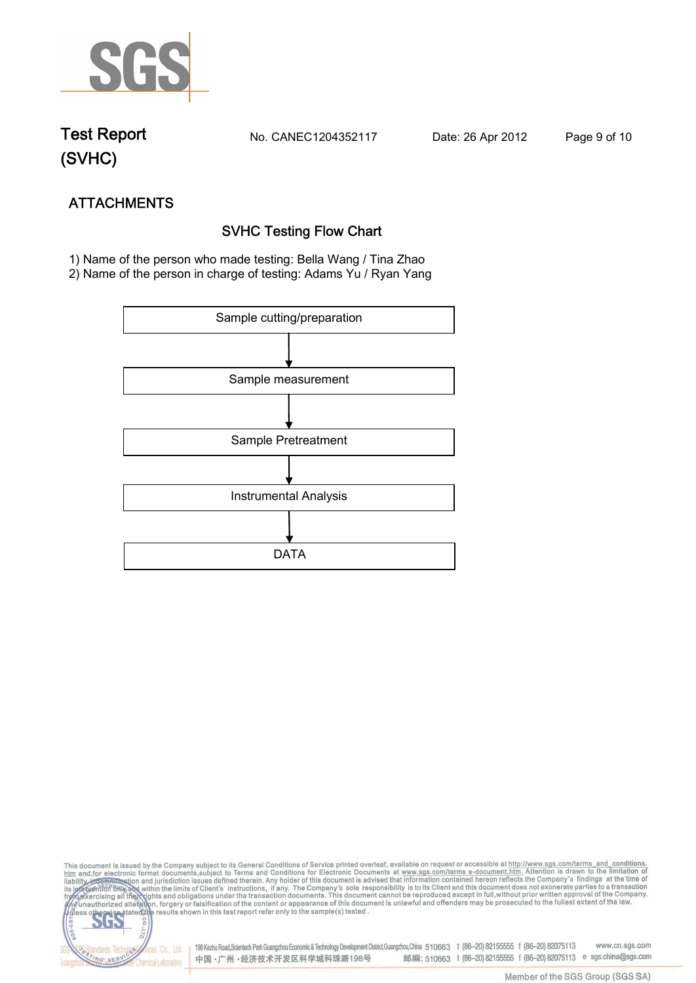

**Test Report. No. CANEC1204352117 Date: 26 Apr 2012. Page 9 of 10.**

NG SERY

**ATTACHMENTS SVHC Testing Flow Chart 1)** Name of the person who made testing: **Bella Wang / Tina Zhao**

**2)** Name of the person in charge of testing: **Adams Yu / Ryan Yang**



This document is issued by the Company subject to its General Conditions of Service printed overleaf, available on request or accessible at http://www.sgs.com/terms\_and\_conditions.<br>htm\_and,for electronic format documents,s S 198 Kezhu Road,Scientech Park Guangzhou Economic & Technology Development District,Guangzhou,China 510663 t (86-20) 82155555 f (86-20) 82075113 www.cn.sgs.com dards Te fices Co., Ltd.

中国·广州·经济技术开发区科学城科珠路198号

邮编: 510663 t (86-20) 82155555 f (86-20) 82075113 e sgs.china@sgs.com